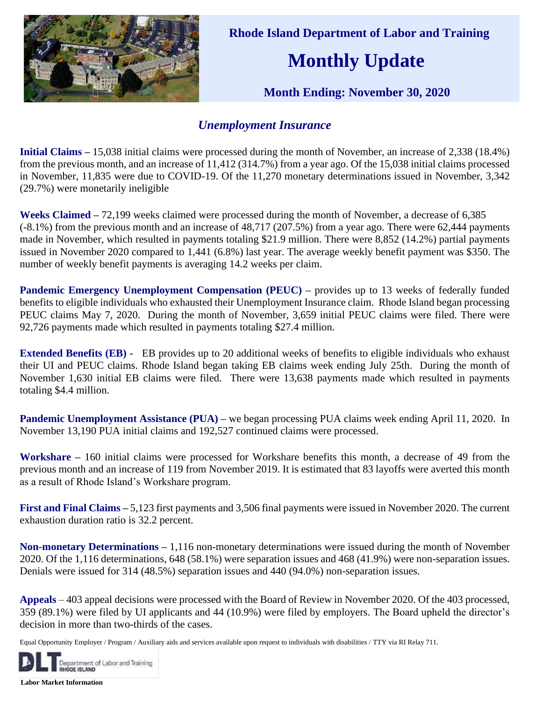

 **Rhode Island Department of Labor and Training**

## **Monthly Update**

 **Month Ending: November 30, 2020** 

## *Unemployment Insurance*

**Initial Claims –** 15,038 initial claims were processed during the month of November, an increase of 2,338 (18.4%) from the previous month, and an increase of 11,412 (314.7%) from a year ago. Of the 15,038 initial claims processed in November, 11,835 were due to COVID-19. Of the 11,270 monetary determinations issued in November, 3,342 (29.7%) were monetarily ineligible

**Weeks Claimed –** 72,199 weeks claimed were processed during the month of November, a decrease of 6,385 (-8.1%) from the previous month and an increase of 48,717 (207.5%) from a year ago. There were 62,444 payments made in November, which resulted in payments totaling \$21.9 million. There were 8,852 (14.2%) partial payments issued in November 2020 compared to 1,441 (6.8%) last year. The average weekly benefit payment was \$350. The number of weekly benefit payments is averaging 14.2 weeks per claim.

**Pandemic Emergency Unemployment Compensation (PEUC) – provides up to 13 weeks of federally funded** benefits to eligible individuals who exhausted their Unemployment Insurance claim. Rhode Island began processing PEUC claims May 7, 2020. During the month of November, 3,659 initial PEUC claims were filed. There were 92,726 payments made which resulted in payments totaling \$27.4 million.

**Extended Benefits (EB) -** EB provides up to 20 additional weeks of benefits to eligible individuals who exhaust their UI and PEUC claims. Rhode Island began taking EB claims week ending July 25th. During the month of November 1,630 initial EB claims were filed. There were 13,638 payments made which resulted in payments totaling \$4.4 million.

**Pandemic Unemployment Assistance (PUA) – we began processing PUA claims week ending April 11, 2020. In** November 13,190 PUA initial claims and 192,527 continued claims were processed.

**Workshare –** 160 initial claims were processed for Workshare benefits this month, a decrease of 49 from the previous month and an increase of 119 from November 2019. It is estimated that 83 layoffs were averted this month as a result of Rhode Island's Workshare program.

**First and Final Claims –** 5,123 first payments and 3,506 final payments were issued in November 2020. The current exhaustion duration ratio is 32.2 percent.

**Non-monetary Determinations –** 1,116 non-monetary determinations were issued during the month of November 2020. Of the 1,116 determinations, 648 (58.1%) were separation issues and 468 (41.9%) were non-separation issues. Denials were issued for 314 (48.5%) separation issues and 440 (94.0%) non-separation issues.

**Appeals** – 403 appeal decisions were processed with the Board of Review in November 2020. Of the 403 processed, 359 (89.1%) were filed by UI applicants and 44 (10.9%) were filed by employers. The Board upheld the director's decision in more than two-thirds of the cases.

Equal Opportunity Employer / Program / Auxiliary aids and services available upon request to individuals with disabilities / TTY via RI Relay 711.



**Labor Market Information**